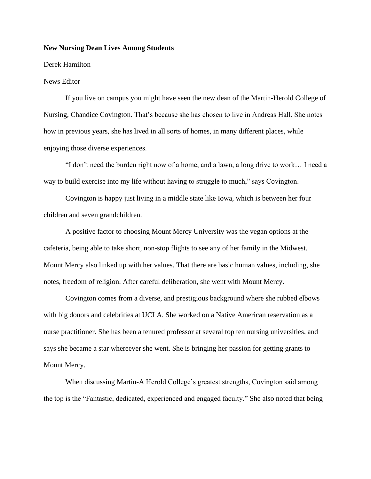## **New Nursing Dean Lives Among Students**

## Derek Hamilton

## News Editor

If you live on campus you might have seen the new dean of the Martin-Herold College of Nursing, Chandice Covington. That's because she has chosen to live in Andreas Hall. She notes how in previous years, she has lived in all sorts of homes, in many different places, while enjoying those diverse experiences.

"I don't need the burden right now of a home, and a lawn, a long drive to work… I need a way to build exercise into my life without having to struggle to much," says Covington.

Covington is happy just living in a middle state like Iowa, which is between her four children and seven grandchildren.

A positive factor to choosing Mount Mercy University was the vegan options at the cafeteria, being able to take short, non-stop flights to see any of her family in the Midwest. Mount Mercy also linked up with her values. That there are basic human values, including, she notes, freedom of religion. After careful deliberation, she went with Mount Mercy.

Covington comes from a diverse, and prestigious background where she rubbed elbows with big donors and celebrities at UCLA. She worked on a Native American reservation as a nurse practitioner. She has been a tenured professor at several top ten nursing universities, and says she became a star whereever she went. She is bringing her passion for getting grants to Mount Mercy.

When discussing Martin-A Herold College's greatest strengths, Covington said among the top is the "Fantastic, dedicated, experienced and engaged faculty." She also noted that being